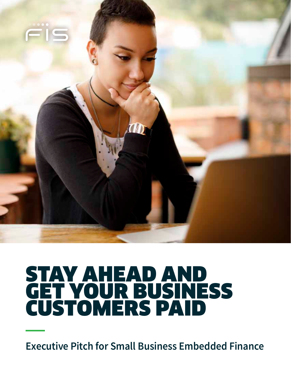

# STAY AHEAD AND GET YOUR BUSINESS CUSTOMERS PAID

**Executive Pitch for Small Business Embedded Finance**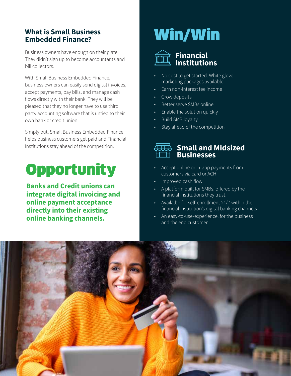# **What is Small Business**

Business owners have enough on their plate. They didn't sign up to become accountants and bill collectors.

With Small Business Embedded Finance, business owners can easily send digital invoices, accept payments, pay bills, and manage cash flows directly with their bank. They will be pleased that they no longer have to use third party accounting software that is untied to their own bank or credit union.

Simply put, Small Business Embedded Finance helps business customers get paid and Financial Institutions stay ahead of the competition.

# **Opportunity**

**Banks and Credit unions can integrate digital invoicing and online payment acceptance directly into their existing online banking channels.**

# **Embedded Finance?** Win/Win



- No cost to get started. White glove marketing packages available
- Earn non-interest fee income
- Grow deposits
- Better serve SMBs online
- Enable the solution quickly
- Build SMB loyalty
- Stay ahead of the competition

## **Small and Midsized Businesses**

- Accept online or in-app payments from customers via card or ACH
- Improved cash flow
- A platform built for SMBs, offered by the financial institutions they trust.
- Availalbe for self-enrollment 24/7 within the financial institution's digital banking channels
- An easy-to-use-experience, for the business and the end customer

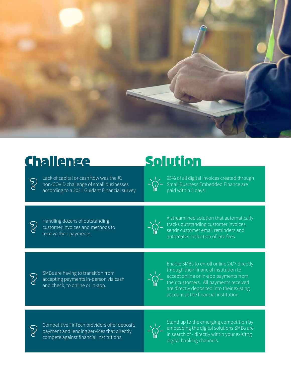

## Challenge Solution

Lack of capital or cash flow was the #1  $\mathcal{E}$ non-COVID challenge of small businesses according to a 2021 Guidant Financial survey.

95% of all digital invoices created through **-** Small Business Embedded Finance are paid within 5 days!

 $\mathcal{E}$ 

Handling dozens of outstanding customer invoices and methods to receive their payments.



A streamlined solution that automatically tracks outstanding customer invoices, sends customer email reminders and automates collection of late fees.

 $\mathcal{E}$ 

SMBs are having to transition from accepting payments in-person via cash and check, to online or in-app.



Enable SMBs to enroll online 24/7 directly through their financial institution to accept online or in-app payments from their customers. All payments received are directly deposited into their existing account at the financial institution.



Competitive FinTech providers offer deposit, payment and lending services that directly compete against financial institutions.



Stand up to the emerging competition by embedding the digital solutions SMBs are in search of - directly within your exisitng digital banking channels.